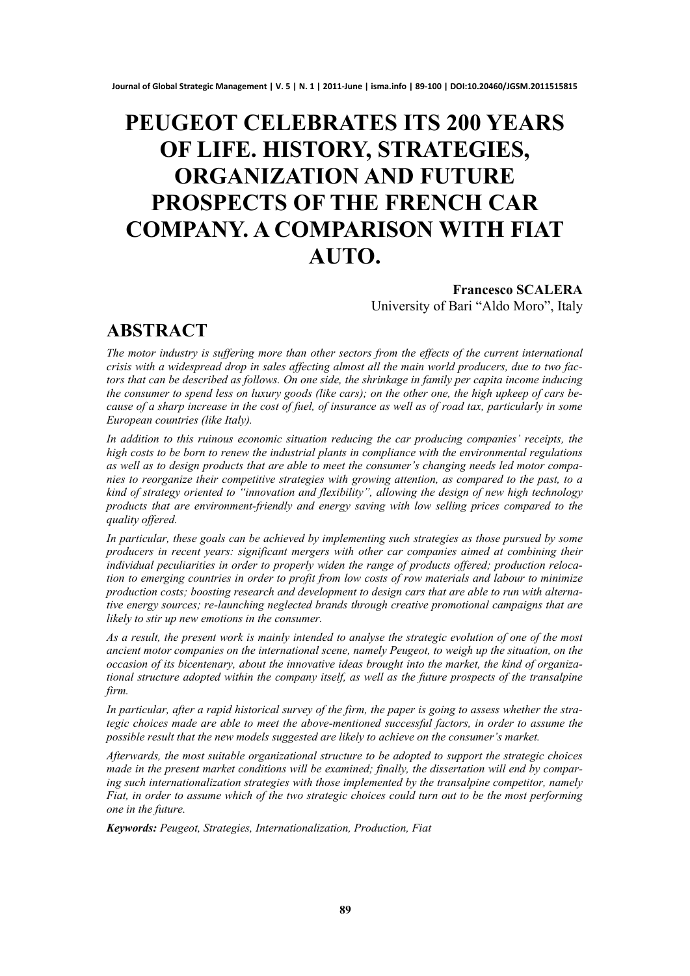# **PEUGEOT CELEBRATES ITS 200 YEARS OF LIFE. HISTORY, STRATEGIES, ORGANIZATION AND FUTURE PROSPECTS OF THE FRENCH CAR COMPANY. A COMPARISON WITH FIAT AUTO.**

**Francesco SCALERA** University of Bari "Aldo Moro", Italy

### **ABSTRACT**

*The motor industry is suffering more than other sectors from the effects of the current international crisis with a widespread drop in sales affecting almost all the main world producers, due to two factors that can be described as follows. On one side, the shrinkage in family per capita income inducing the consumer to spend less on luxury goods (like cars); on the other one, the high upkeep of cars because of a sharp increase in the cost of fuel, of insurance as well as of road tax, particularly in some European countries (like Italy).* 

*In addition to this ruinous economic situation reducing the car producing companies' receipts, the high costs to be born to renew the industrial plants in compliance with the environmental regulations as well as to design products that are able to meet the consumer's changing needs led motor companies to reorganize their competitive strategies with growing attention, as compared to the past, to a kind of strategy oriented to "innovation and flexibility", allowing the design of new high technology products that are environment-friendly and energy saving with low selling prices compared to the quality offered.* 

*In particular, these goals can be achieved by implementing such strategies as those pursued by some producers in recent years: significant mergers with other car companies aimed at combining their individual peculiarities in order to properly widen the range of products offered; production relocation to emerging countries in order to profit from low costs of row materials and labour to minimize production costs; boosting research and development to design cars that are able to run with alternative energy sources; re-launching neglected brands through creative promotional campaigns that are likely to stir up new emotions in the consumer.*

*As a result, the present work is mainly intended to analyse the strategic evolution of one of the most ancient motor companies on the international scene, namely Peugeot, to weigh up the situation, on the occasion of its bicentenary, about the innovative ideas brought into the market, the kind of organizational structure adopted within the company itself, as well as the future prospects of the transalpine firm.* 

*In particular, after a rapid historical survey of the firm, the paper is going to assess whether the strategic choices made are able to meet the above-mentioned successful factors, in order to assume the possible result that the new models suggested are likely to achieve on the consumer's market.*

*Afterwards, the most suitable organizational structure to be adopted to support the strategic choices made in the present market conditions will be examined; finally, the dissertation will end by comparing such internationalization strategies with those implemented by the transalpine competitor, namely Fiat, in order to assume which of the two strategic choices could turn out to be the most performing one in the future.*

*Keywords: Peugeot, Strategies, Internationalization, Production, Fiat*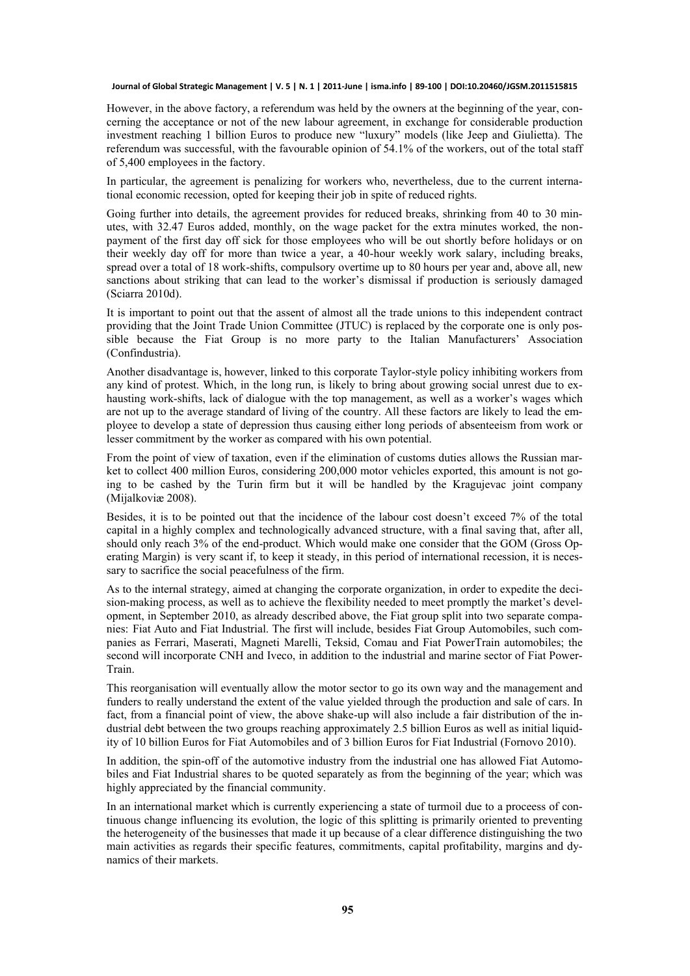However, in the above factory, a referendum was held by the owners at the beginning of the year, concerning the acceptance or not of the new labour agreement, in exchange for considerable production investment reaching 1 billion Euros to produce new "luxury" models (like Jeep and Giulietta). The referendum was successful, with the favourable opinion of 54.1% of the workers, out of the total staff of 5,400 employees in the factory.

In particular, the agreement is penalizing for workers who, nevertheless, due to the current international economic recession, opted for keeping their job in spite of reduced rights.

Going further into details, the agreement provides for reduced breaks, shrinking from 40 to 30 minutes, with 32.47 Euros added, monthly, on the wage packet for the extra minutes worked, the nonpayment of the first day off sick for those employees who will be out shortly before holidays or on their weekly day off for more than twice a year, a 40-hour weekly work salary, including breaks, spread over a total of 18 work-shifts, compulsory overtime up to 80 hours per year and, above all, new sanctions about striking that can lead to the worker's dismissal if production is seriously damaged (Sciarra 2010d).

It is important to point out that the assent of almost all the trade unions to this independent contract providing that the Joint Trade Union Committee (JTUC) is replaced by the corporate one is only possible because the Fiat Group is no more party to the Italian Manufacturers' Association (Confindustria).

Another disadvantage is, however, linked to this corporate Taylor-style policy inhibiting workers from any kind of protest. Which, in the long run, is likely to bring about growing social unrest due to exhausting work-shifts, lack of dialogue with the top management, as well as a worker's wages which are not up to the average standard of living of the country. All these factors are likely to lead the employee to develop a state of depression thus causing either long periods of absenteeism from work or lesser commitment by the worker as compared with his own potential.

From the point of view of taxation, even if the elimination of customs duties allows the Russian market to collect 400 million Euros, considering 200,000 motor vehicles exported, this amount is not going to be cashed by the Turin firm but it will be handled by the Kragujevac joint company (Mijalkoviæ 2008).

Besides, it is to be pointed out that the incidence of the labour cost doesn't exceed 7% of the total capital in a highly complex and technologically advanced structure, with a final saving that, after all, should only reach 3% of the end-product. Which would make one consider that the GOM (Gross Operating Margin) is very scant if, to keep it steady, in this period of international recession, it is necessary to sacrifice the social peacefulness of the firm.

As to the internal strategy, aimed at changing the corporate organization, in order to expedite the decision-making process, as well as to achieve the flexibility needed to meet promptly the market's development, in September 2010, as already described above, the Fiat group split into two separate companies: Fiat Auto and Fiat Industrial. The first will include, besides Fiat Group Automobiles, such companies as Ferrari, Maserati, Magneti Marelli, Teksid, Comau and Fiat PowerTrain automobiles; the second will incorporate CNH and Iveco, in addition to the industrial and marine sector of Fiat Power-Train.

This reorganisation will eventually allow the motor sector to go its own way and the management and funders to really understand the extent of the value yielded through the production and sale of cars. In fact, from a financial point of view, the above shake-up will also include a fair distribution of the industrial debt between the two groups reaching approximately 2.5 billion Euros as well as initial liquidity of 10 billion Euros for Fiat Automobiles and of 3 billion Euros for Fiat Industrial (Fornovo 2010).

In addition, the spin-off of the automotive industry from the industrial one has allowed Fiat Automobiles and Fiat Industrial shares to be quoted separately as from the beginning of the year; which was highly appreciated by the financial community.

In an international market which is currently experiencing a state of turmoil due to a proceess of continuous change influencing its evolution, the logic of this splitting is primarily oriented to preventing the heterogeneity of the businesses that made it up because of a clear difference distinguishing the two main activities as regards their specific features, commitments, capital profitability, margins and dynamics of their markets.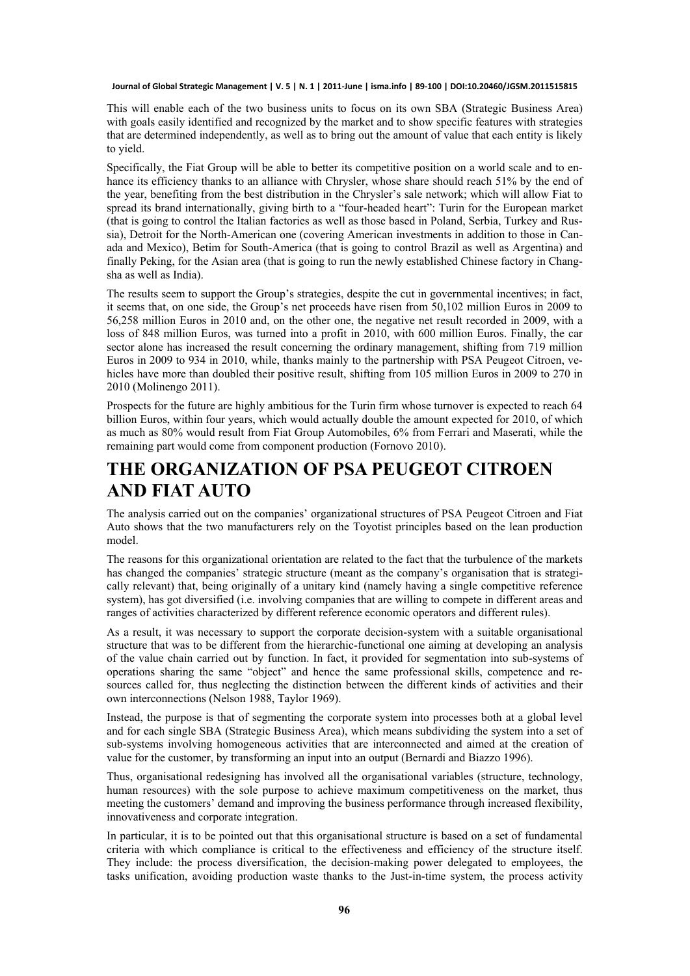This will enable each of the two business units to focus on its own SBA (Strategic Business Area) with goals easily identified and recognized by the market and to show specific features with strategies that are determined independently, as well as to bring out the amount of value that each entity is likely to yield.

Specifically, the Fiat Group will be able to better its competitive position on a world scale and to enhance its efficiency thanks to an alliance with Chrysler, whose share should reach 51% by the end of the year, benefiting from the best distribution in the Chrysler's sale network; which will allow Fiat to spread its brand internationally, giving birth to a "four-headed heart": Turin for the European market (that is going to control the Italian factories as well as those based in Poland, Serbia, Turkey and Russia), Detroit for the North-American one (covering American investments in addition to those in Canada and Mexico), Betim for South-America (that is going to control Brazil as well as Argentina) and finally Peking, for the Asian area (that is going to run the newly established Chinese factory in Changsha as well as India).

The results seem to support the Group's strategies, despite the cut in governmental incentives; in fact, it seems that, on one side, the Group's net proceeds have risen from 50,102 million Euros in 2009 to 56,258 million Euros in 2010 and, on the other one, the negative net result recorded in 2009, with a loss of 848 million Euros, was turned into a profit in 2010, with 600 million Euros. Finally, the car sector alone has increased the result concerning the ordinary management, shifting from 719 million Euros in 2009 to 934 in 2010, while, thanks mainly to the partnership with PSA Peugeot Citroen, vehicles have more than doubled their positive result, shifting from 105 million Euros in 2009 to 270 in 2010 (Molinengo 2011).

Prospects for the future are highly ambitious for the Turin firm whose turnover is expected to reach 64 billion Euros, within four years, which would actually double the amount expected for 2010, of which as much as 80% would result from Fiat Group Automobiles, 6% from Ferrari and Maserati, while the remaining part would come from component production (Fornovo 2010).

## **THE ORGANIZATION OF PSA PEUGEOT CITROEN AND FIAT AUTO**

The analysis carried out on the companies' organizational structures of PSA Peugeot Citroen and Fiat Auto shows that the two manufacturers rely on the Toyotist principles based on the lean production model.

The reasons for this organizational orientation are related to the fact that the turbulence of the markets has changed the companies' strategic structure (meant as the company's organisation that is strategically relevant) that, being originally of a unitary kind (namely having a single competitive reference system), has got diversified (i.e. involving companies that are willing to compete in different areas and ranges of activities characterized by different reference economic operators and different rules).

As a result, it was necessary to support the corporate decision-system with a suitable organisational structure that was to be different from the hierarchic-functional one aiming at developing an analysis of the value chain carried out by function. In fact, it provided for segmentation into sub-systems of operations sharing the same "object" and hence the same professional skills, competence and resources called for, thus neglecting the distinction between the different kinds of activities and their own interconnections (Nelson 1988, Taylor 1969).

Instead, the purpose is that of segmenting the corporate system into processes both at a global level and for each single SBA (Strategic Business Area), which means subdividing the system into a set of sub-systems involving homogeneous activities that are interconnected and aimed at the creation of value for the customer, by transforming an input into an output (Bernardi and Biazzo 1996).

Thus, organisational redesigning has involved all the organisational variables (structure, technology, human resources) with the sole purpose to achieve maximum competitiveness on the market, thus meeting the customers' demand and improving the business performance through increased flexibility, innovativeness and corporate integration.

In particular, it is to be pointed out that this organisational structure is based on a set of fundamental criteria with which compliance is critical to the effectiveness and efficiency of the structure itself. They include: the process diversification, the decision-making power delegated to employees, the tasks unification, avoiding production waste thanks to the Just-in-time system, the process activity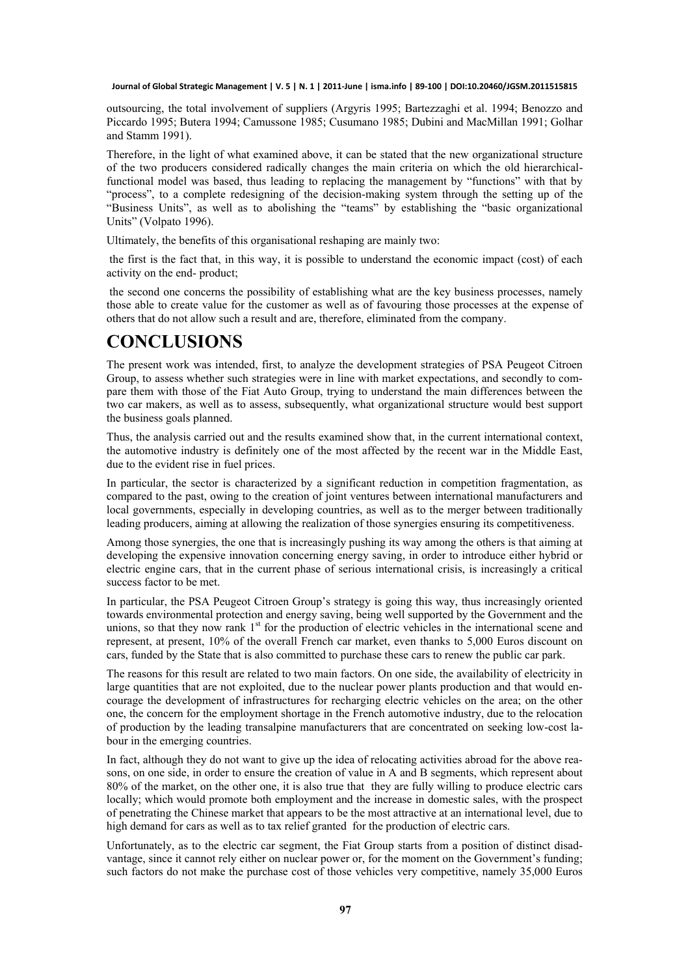outsourcing, the total involvement of suppliers (Argyris 1995; Bartezzaghi et al. 1994; Benozzo and Piccardo 1995; Butera 1994; Camussone 1985; Cusumano 1985; Dubini and MacMillan 1991; Golhar and Stamm 1991).

Therefore, in the light of what examined above, it can be stated that the new organizational structure of the two producers considered radically changes the main criteria on which the old hierarchicalfunctional model was based, thus leading to replacing the management by "functions" with that by "process", to a complete redesigning of the decision-making system through the setting up of the "Business Units", as well as to abolishing the "teams" by establishing the "basic organizational Units" (Volpato 1996).

Ultimately, the benefits of this organisational reshaping are mainly two:

the first is the fact that, in this way, it is possible to understand the economic impact (cost) of each activity on the end- product;

the second one concerns the possibility of establishing what are the key business processes, namely those able to create value for the customer as well as of favouring those processes at the expense of others that do not allow such a result and are, therefore, eliminated from the company.

### **CONCLUSIONS**

The present work was intended, first, to analyze the development strategies of PSA Peugeot Citroen Group, to assess whether such strategies were in line with market expectations, and secondly to compare them with those of the Fiat Auto Group, trying to understand the main differences between the two car makers, as well as to assess, subsequently, what organizational structure would best support the business goals planned.

Thus, the analysis carried out and the results examined show that, in the current international context, the automotive industry is definitely one of the most affected by the recent war in the Middle East, due to the evident rise in fuel prices.

In particular, the sector is characterized by a significant reduction in competition fragmentation, as compared to the past, owing to the creation of joint ventures between international manufacturers and local governments, especially in developing countries, as well as to the merger between traditionally leading producers, aiming at allowing the realization of those synergies ensuring its competitiveness.

Among those synergies, the one that is increasingly pushing its way among the others is that aiming at developing the expensive innovation concerning energy saving, in order to introduce either hybrid or electric engine cars, that in the current phase of serious international crisis, is increasingly a critical success factor to be met.

In particular, the PSA Peugeot Citroen Group's strategy is going this way, thus increasingly oriented towards environmental protection and energy saving, being well supported by the Government and the unions, so that they now rank  $1<sup>st</sup>$  for the production of electric vehicles in the international scene and represent, at present, 10% of the overall French car market, even thanks to 5,000 Euros discount on cars, funded by the State that is also committed to purchase these cars to renew the public car park.

The reasons for this result are related to two main factors. On one side, the availability of electricity in large quantities that are not exploited, due to the nuclear power plants production and that would encourage the development of infrastructures for recharging electric vehicles on the area; on the other one, the concern for the employment shortage in the French automotive industry, due to the relocation of production by the leading transalpine manufacturers that are concentrated on seeking low-cost labour in the emerging countries.

In fact, although they do not want to give up the idea of relocating activities abroad for the above reasons, on one side, in order to ensure the creation of value in A and B segments, which represent about 80% of the market, on the other one, it is also true that they are fully willing to produce electric cars locally; which would promote both employment and the increase in domestic sales, with the prospect of penetrating the Chinese market that appears to be the most attractive at an international level, due to high demand for cars as well as to tax relief granted for the production of electric cars.

Unfortunately, as to the electric car segment, the Fiat Group starts from a position of distinct disadvantage, since it cannot rely either on nuclear power or, for the moment on the Government's funding; such factors do not make the purchase cost of those vehicles very competitive, namely 35,000 Euros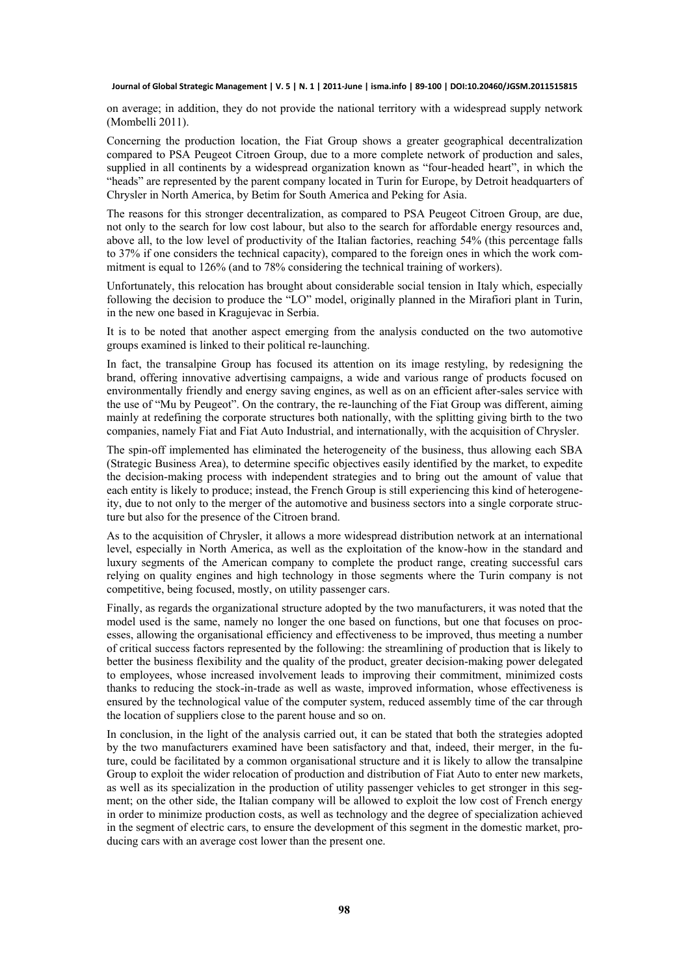on average; in addition, they do not provide the national territory with a widespread supply network (Mombelli 2011).

Concerning the production location, the Fiat Group shows a greater geographical decentralization compared to PSA Peugeot Citroen Group, due to a more complete network of production and sales, supplied in all continents by a widespread organization known as "four-headed heart", in which the "heads" are represented by the parent company located in Turin for Europe, by Detroit headquarters of Chrysler in North America, by Betim for South America and Peking for Asia.

The reasons for this stronger decentralization, as compared to PSA Peugeot Citroen Group, are due, not only to the search for low cost labour, but also to the search for affordable energy resources and, above all, to the low level of productivity of the Italian factories, reaching 54% (this percentage falls to 37% if one considers the technical capacity), compared to the foreign ones in which the work commitment is equal to 126% (and to 78% considering the technical training of workers).

Unfortunately, this relocation has brought about considerable social tension in Italy which, especially following the decision to produce the "LO" model, originally planned in the Mirafiori plant in Turin, in the new one based in Kragujevac in Serbia.

It is to be noted that another aspect emerging from the analysis conducted on the two automotive groups examined is linked to their political re-launching.

In fact, the transalpine Group has focused its attention on its image restyling, by redesigning the brand, offering innovative advertising campaigns, a wide and various range of products focused on environmentally friendly and energy saving engines, as well as on an efficient after-sales service with the use of "Mu by Peugeot". On the contrary, the re-launching of the Fiat Group was different, aiming mainly at redefining the corporate structures both nationally, with the splitting giving birth to the two companies, namely Fiat and Fiat Auto Industrial, and internationally, with the acquisition of Chrysler.

The spin-off implemented has eliminated the heterogeneity of the business, thus allowing each SBA (Strategic Business Area), to determine specific objectives easily identified by the market, to expedite the decision-making process with independent strategies and to bring out the amount of value that each entity is likely to produce; instead, the French Group is still experiencing this kind of heterogeneity, due to not only to the merger of the automotive and business sectors into a single corporate structure but also for the presence of the Citroen brand.

As to the acquisition of Chrysler, it allows a more widespread distribution network at an international level, especially in North America, as well as the exploitation of the know-how in the standard and luxury segments of the American company to complete the product range, creating successful cars relying on quality engines and high technology in those segments where the Turin company is not competitive, being focused, mostly, on utility passenger cars.

Finally, as regards the organizational structure adopted by the two manufacturers, it was noted that the model used is the same, namely no longer the one based on functions, but one that focuses on processes, allowing the organisational efficiency and effectiveness to be improved, thus meeting a number of critical success factors represented by the following: the streamlining of production that is likely to better the business flexibility and the quality of the product, greater decision-making power delegated to employees, whose increased involvement leads to improving their commitment, minimized costs thanks to reducing the stock-in-trade as well as waste, improved information, whose effectiveness is ensured by the technological value of the computer system, reduced assembly time of the car through the location of suppliers close to the parent house and so on.

In conclusion, in the light of the analysis carried out, it can be stated that both the strategies adopted by the two manufacturers examined have been satisfactory and that, indeed, their merger, in the future, could be facilitated by a common organisational structure and it is likely to allow the transalpine Group to exploit the wider relocation of production and distribution of Fiat Auto to enter new markets, as well as its specialization in the production of utility passenger vehicles to get stronger in this segment; on the other side, the Italian company will be allowed to exploit the low cost of French energy in order to minimize production costs, as well as technology and the degree of specialization achieved in the segment of electric cars, to ensure the development of this segment in the domestic market, producing cars with an average cost lower than the present one.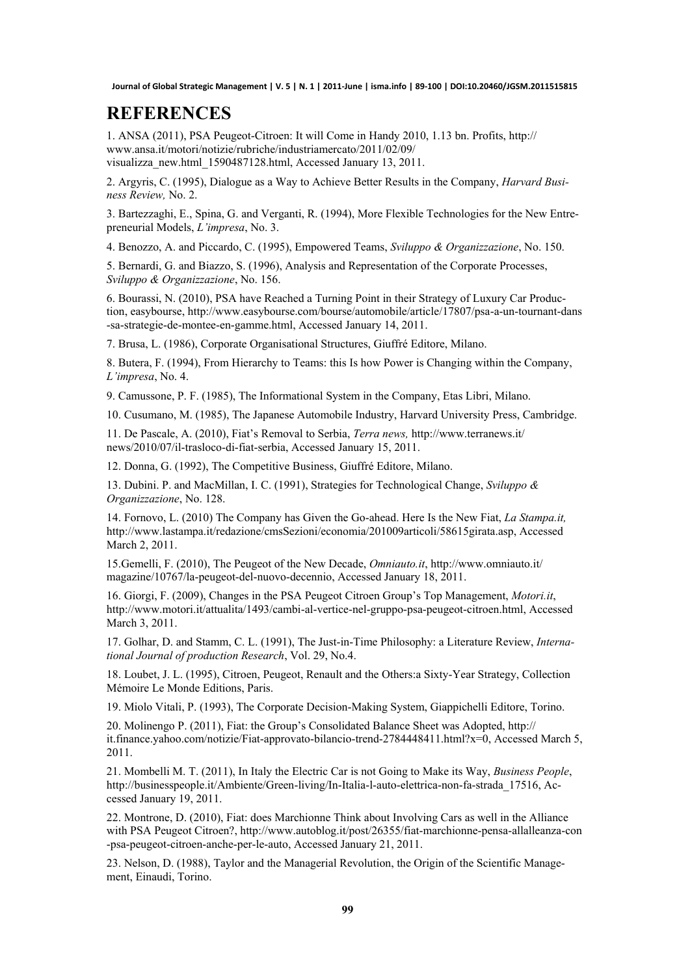### **REFERENCES**

1. ANSA (2011), PSA Peugeot-Citroen: It will Come in Handy 2010, 1.13 bn. Profits, http:// www.ansa.it/motori/notizie/rubriche/industriamercato/2011/02/09/ visualizza\_new.html\_1590487128.html, Accessed January 13, 2011.

2. Argyris, C. (1995), Dialogue as a Way to Achieve Better Results in the Company, *Harvard Business Review,* No. 2.

3. Bartezzaghi, E., Spina, G. and Verganti, R. (1994), More Flexible Technologies for the New Entrepreneurial Models, *L'impresa*, No. 3.

4. Benozzo, A. and Piccardo, C. (1995), Empowered Teams, *Sviluppo & Organizzazione*, No. 150.

5. Bernardi, G. and Biazzo, S. (1996), Analysis and Representation of the Corporate Processes, *Sviluppo & Organizzazione*, No. 156.

6. Bourassi, N. (2010), PSA have Reached a Turning Point in their Strategy of Luxury Car Production, easybourse, http://www.easybourse.com/bourse/automobile/article/17807/psa-a-un-tournant-dans -sa-strategie-de-montee-en-gamme.html, Accessed January 14, 2011.

7. Brusa, L. (1986), Corporate Organisational Structures, Giuffré Editore, Milano.

8. Butera, F. (1994), From Hierarchy to Teams: this Is how Power is Changing within the Company, *L'impresa*, No. 4.

9. Camussone, P. F. (1985), The Informational System in the Company, Etas Libri, Milano.

10. Cusumano, M. (1985), The Japanese Automobile Industry, Harvard University Press, Cambridge.

11. De Pascale, A. (2010), Fiat's Removal to Serbia, *Terra news,* http://www.terranews.it/ news/2010/07/il-trasloco-di-fiat-serbia, Accessed January 15, 2011.

12. Donna, G. (1992), The Competitive Business, Giuffré Editore, Milano.

13. Dubini. P. and MacMillan, I. C. (1991), Strategies for Technological Change, *Sviluppo & Organizzazione*, No. 128.

14. Fornovo, L. (2010) The Company has Given the Go-ahead. Here Is the New Fiat, *La Stampa.it,* http://www.lastampa.it/redazione/cmsSezioni/economia/201009articoli/58615girata.asp, Accessed March 2, 2011.

15.Gemelli, F. (2010), The Peugeot of the New Decade, *Omniauto.it*, http://www.omniauto.it/ magazine/10767/la-peugeot-del-nuovo-decennio, Accessed January 18, 2011.

16. Giorgi, F. (2009), Changes in the PSA Peugeot Citroen Group's Top Management, *Motori.it*, http://www.motori.it/attualita/1493/cambi-al-vertice-nel-gruppo-psa-peugeot-citroen.html, Accessed March 3, 2011.

17. Golhar, D. and Stamm, C. L. (1991), The Just-in-Time Philosophy: a Literature Review, *International Journal of production Research*, Vol. 29, No.4.

18. Loubet, J. L. (1995), Citroen, Peugeot, Renault and the Others:a Sixty-Year Strategy, Collection Mémoire Le Monde Editions, Paris.

19. Miolo Vitali, P. (1993), The Corporate Decision-Making System, Giappichelli Editore, Torino.

20. Molinengo P. (2011), Fiat: the Group's Consolidated Balance Sheet was Adopted, http:// it.finance.yahoo.com/notizie/Fiat-approvato-bilancio-trend-2784448411.html?x=0, Accessed March 5, 2011.

21. Mombelli M. T. (2011), In Italy the Electric Car is not Going to Make its Way, *Business People*, http://businesspeople.it/Ambiente/Green-living/In-Italia-l-auto-elettrica-non-fa-strada\_17516, Accessed January 19, 2011.

22. Montrone, D. (2010), Fiat: does Marchionne Think about Involving Cars as well in the Alliance with PSA Peugeot Citroen?, http://www.autoblog.it/post/26355/fiat-marchionne-pensa-allalleanza-con -psa-peugeot-citroen-anche-per-le-auto, Accessed January 21, 2011.

23. Nelson, D. (1988), Taylor and the Managerial Revolution, the Origin of the Scientific Management, Einaudi, Torino.